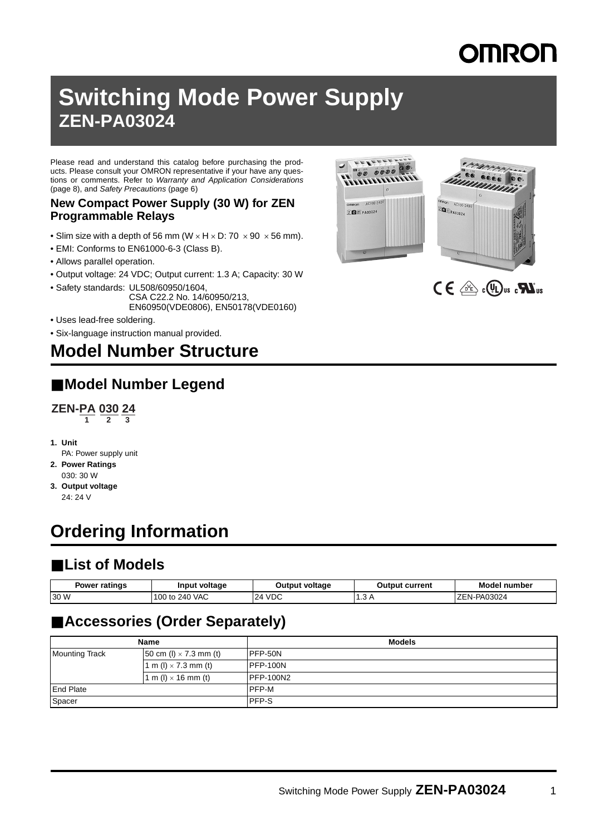# **DMRON**

## **Switching Mode Power Supply ZEN-PA03024**

Please read and understand this catalog before purchasing the products. Please consult your OMRON representative if your have any questions or comments. Refer to Warranty and Application Considerations ([page 8](#page-7-0)), and Safety Precautions [\(page 6\)](#page-5-0)

#### **New Compact Power Supply (30 W) for ZEN Programmable Relays**

- Slim size with a depth of 56 mm ( $W \times H \times D$ : 70  $\times$  90  $\times$  56 mm).
- EMI: Conforms to EN61000-6-3 (Class B).
- Allows parallel operation.
- Output voltage: 24 VDC; Output current: 1.3 A; Capacity: 30 W
- Safety standards: UL508/60950/1604, CSA C22.2 No. 14/60950/213, EN60950(VDE0806), EN50178(VDE0160)
- Uses lead-free soldering.
- Six-language instruction manual provided.

### **Model Number Structure**

### ■ **Model Number Legend**



- **1. Unit**
- PA: Power supply unit
- **2. Power Ratings** 030: 30 W
- **3. Output voltage** 24: 24 V

## **Ordering Information**

### ■ **List of Models**

| <b>Power ratings</b> | Input voltage  | <b>Output voltage</b> | <b>Output current</b> | <b>Model number</b> |
|----------------------|----------------|-----------------------|-----------------------|---------------------|
| 30 W                 | 100 to 240 VAC | 24 VDC<br>24          | רז טו                 | EN-PA03024<br>⊶∠⊢'  |

### ■ **Accessories (Order Separately)**

| Name                  |                               | <b>Models</b>     |
|-----------------------|-------------------------------|-------------------|
| <b>Mounting Track</b> | 50 cm (l) $\times$ 7.3 mm (t) | IPFP-50N          |
|                       | 1 m (l) $\times$ 7.3 mm (t)   | IPFP-100N         |
|                       | 1 m (l) $\times$ 16 mm (t)    | <b>IPFP-100N2</b> |
| <b>End Plate</b>      |                               | PFP-M             |
| Spacer                |                               | <b>PFP-S</b>      |



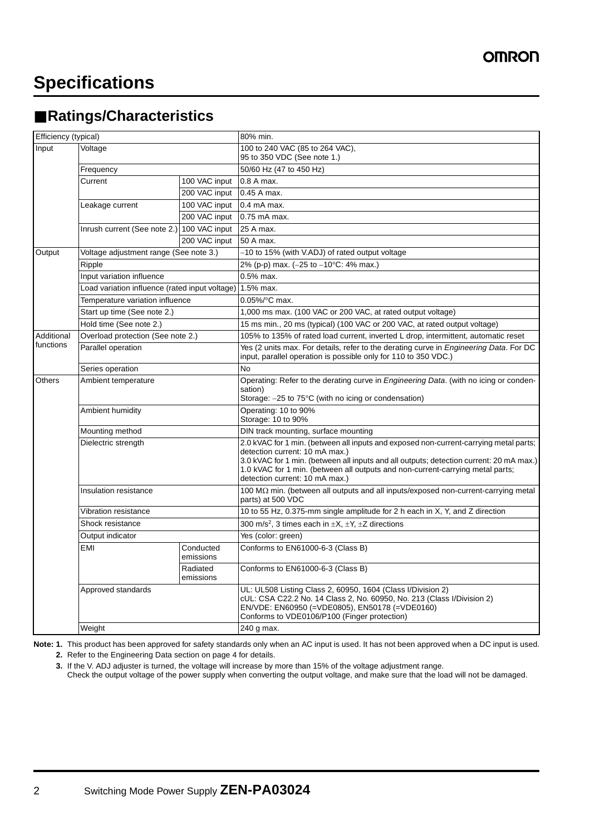### ■ **Ratings/Characteristics**

| Efficiency (typical)    |                                                |                        | 80% min.                                                                                                                                                                                                                                                                                                                               |
|-------------------------|------------------------------------------------|------------------------|----------------------------------------------------------------------------------------------------------------------------------------------------------------------------------------------------------------------------------------------------------------------------------------------------------------------------------------|
| Input                   | Voltage                                        |                        | 100 to 240 VAC (85 to 264 VAC),<br>95 to 350 VDC (See note 1.)                                                                                                                                                                                                                                                                         |
|                         | Frequency                                      |                        | 50/60 Hz (47 to 450 Hz)                                                                                                                                                                                                                                                                                                                |
|                         | Current                                        | 100 VAC input          | 0.8 A max.                                                                                                                                                                                                                                                                                                                             |
|                         |                                                | 200 VAC input          | 0.45 A max.                                                                                                                                                                                                                                                                                                                            |
|                         | Leakage current                                | 100 VAC input          | $0.4$ mA max.                                                                                                                                                                                                                                                                                                                          |
|                         |                                                | 200 VAC input          | 0.75 mA max.                                                                                                                                                                                                                                                                                                                           |
|                         | Inrush current (See note 2.) 100 VAC input     |                        | 25 A max.                                                                                                                                                                                                                                                                                                                              |
|                         |                                                | 200 VAC input          | 50 A max.                                                                                                                                                                                                                                                                                                                              |
| Output                  | Voltage adjustment range (See note 3.)         |                        | -10 to 15% (with V.ADJ) of rated output voltage                                                                                                                                                                                                                                                                                        |
|                         | Ripple                                         |                        | 2% (p-p) max. (-25 to -10°C: 4% max.)                                                                                                                                                                                                                                                                                                  |
|                         | Input variation influence                      |                        | 0.5% max.                                                                                                                                                                                                                                                                                                                              |
|                         | Load variation influence (rated input voltage) |                        | 1.5% max.                                                                                                                                                                                                                                                                                                                              |
|                         | Temperature variation influence                |                        | 0.05%/°C max.                                                                                                                                                                                                                                                                                                                          |
|                         | Start up time (See note 2.)                    |                        | 1,000 ms max. (100 VAC or 200 VAC, at rated output voltage)                                                                                                                                                                                                                                                                            |
|                         | Hold time (See note 2.)                        |                        | 15 ms min., 20 ms (typical) (100 VAC or 200 VAC, at rated output voltage)                                                                                                                                                                                                                                                              |
| Additional<br>functions | Overload protection (See note 2.)              |                        | 105% to 135% of rated load current, inverted L drop, intermittent, automatic reset                                                                                                                                                                                                                                                     |
|                         | Parallel operation                             |                        | Yes (2 units max. For details, refer to the derating curve in <i>Engineering Data</i> . For DC<br>input, parallel operation is possible only for 110 to 350 VDC.)                                                                                                                                                                      |
|                         | Series operation                               |                        | <b>No</b>                                                                                                                                                                                                                                                                                                                              |
| Others                  | Ambient temperature                            |                        | Operating: Refer to the derating curve in <i>Engineering Data</i> . (with no icing or conden-<br>sation)<br>Storage: -25 to 75°C (with no icing or condensation)                                                                                                                                                                       |
|                         | Ambient humidity                               |                        | Operating: 10 to 90%<br>Storage: 10 to 90%                                                                                                                                                                                                                                                                                             |
|                         | Mounting method                                |                        | DIN track mounting, surface mounting                                                                                                                                                                                                                                                                                                   |
|                         | Dielectric strength                            |                        | 2.0 kVAC for 1 min. (between all inputs and exposed non-current-carrying metal parts;<br>detection current: 10 mA max.)<br>3.0 kVAC for 1 min. (between all inputs and all outputs; detection current: 20 mA max.)<br>1.0 kVAC for 1 min. (between all outputs and non-current-carrying metal parts;<br>detection current: 10 mA max.) |
|                         | Insulation resistance                          |                        | 100 MΩ min. (between all outputs and all inputs/exposed non-current-carrying metal<br>parts) at 500 VDC                                                                                                                                                                                                                                |
|                         | Vibration resistance                           |                        | 10 to 55 Hz, 0.375-mm single amplitude for 2 h each in X, Y, and Z direction                                                                                                                                                                                                                                                           |
|                         | Shock resistance                               |                        | 300 m/s <sup>2</sup> , 3 times each in $\pm X$ , $\pm Y$ , $\pm Z$ directions                                                                                                                                                                                                                                                          |
|                         | Output indicator                               |                        | Yes (color: green)                                                                                                                                                                                                                                                                                                                     |
|                         | EMI                                            | Conducted<br>emissions | Conforms to EN61000-6-3 (Class B)                                                                                                                                                                                                                                                                                                      |
|                         |                                                | Radiated<br>emissions  | Conforms to EN61000-6-3 (Class B)                                                                                                                                                                                                                                                                                                      |
|                         | Approved standards                             |                        | UL: UL508 Listing Class 2, 60950, 1604 (Class I/Division 2)<br>cUL: CSA C22.2 No. 14 Class 2, No. 60950, No. 213 (Class I/Division 2)<br>EN/VDE: EN60950 (=VDE0805), EN50178 (=VDE0160)<br>Conforms to VDE0106/P100 (Finger protection)                                                                                                |
|                         | Weight                                         |                        | 240 g max.                                                                                                                                                                                                                                                                                                                             |

**Note: 1.** This product has been approved for safety standards only when an AC input is used. It has not been approved when a DC input is used.

**2.** Refer to the Engineering Data section on [page 4](#page-3-0) for details.

**3.** If the V. ADJ adjuster is turned, the voltage will increase by more than 15% of the voltage adjustment range.

Check the output voltage of the power supply when converting the output voltage, and make sure that the load will not be damaged.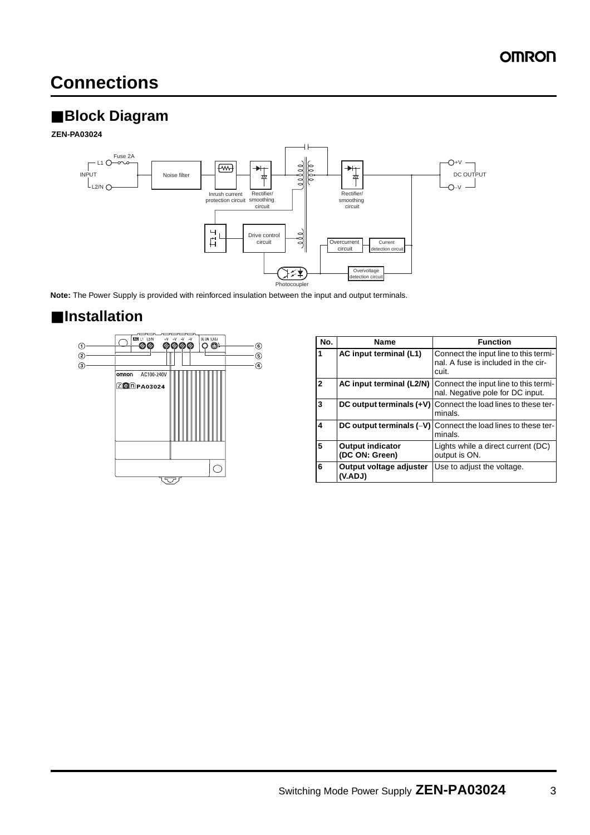### **Connections**

### ■ **Block Diagram**

**ZEN-PA03024**



**Note:** The Power Supply is provided with reinforced insulation between the input and output terminals.

### ■ **Installation**



| No.          | <b>Name</b>                               | <b>Function</b>                                                                       |
|--------------|-------------------------------------------|---------------------------------------------------------------------------------------|
| 1            | AC input terminal (L1)                    | Connect the input line to this termi-<br>nal. A fuse is included in the cir-<br>cuit. |
| $\mathbf{2}$ | AC input terminal (L2/N)                  | Connect the input line to this termi-<br>nal. Negative pole for DC input.             |
| 3            | DC output terminals $(+V)$                | Connect the load lines to these ter-<br>minals.                                       |
| 4            | DC output terminals $(-V)$                | Connect the load lines to these ter-<br>minals.                                       |
| 5            | <b>Output indicator</b><br>(DC ON: Green) | Lights while a direct current (DC)<br>output is ON.                                   |
| 6            | Output voltage adjuster<br>(V.ADJ)        | Use to adjust the voltage.                                                            |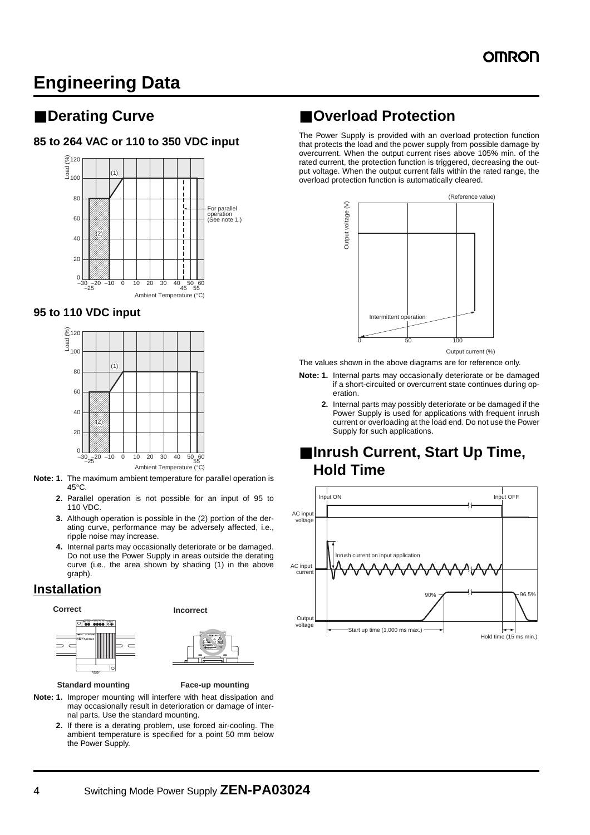### <span id="page-3-0"></span>**Engineering Data**

### <span id="page-3-1"></span>■ **Derating Curve**

#### **85 to 264 VAC or 110 to 350 VDC input**



#### **95 to 110 VDC input**



**Note: 1.** The maximum ambient temperature for parallel operation is  $45^{\circ}$ C.

- **2.** Parallel operation is not possible for an input of 95 to 110 VDC.
- **3.** Although operation is possible in the (2) portion of the derating curve, performance may be adversely affected, i.e., ripple noise may increase.
- **4.** Internal parts may occasionally deteriorate or be damaged. Do not use the Power Supply in areas outside the derating curve (i.e., the area shown by shading (1) in the above graph).

#### **Installation**





**Standard mounting Face-up mounting**

- **Note: 1.** Improper mounting will interfere with heat dissipation and may occasionally result in deterioration or damage of internal parts. Use the standard mounting.
	- **2.** If there is a derating problem, use forced air-cooling. The ambient temperature is specified for a point 50 mm below the Power Supply.

### ■ **Overload Protection**

The Power Supply is provided with an overload protection function that protects the load and the power supply from possible damage by overcurrent. When the output current rises above 105% min. of the rated current, the protection function is triggered, decreasing the output voltage. When the output current falls within the rated range, the overload protection function is automatically cleared.



The values shown in the above diagrams are for reference only.

- **Note: 1.** Internal parts may occasionally deteriorate or be damaged if a short-circuited or overcurrent state continues during operation.
	- **2.** Internal parts may possibly deteriorate or be damaged if the Power Supply is used for applications with frequent inrush current or overloading at the load end. Do not use the Power Supply for such applications.

### ■ **Inrush Current, Start Up Time, Hold Time**

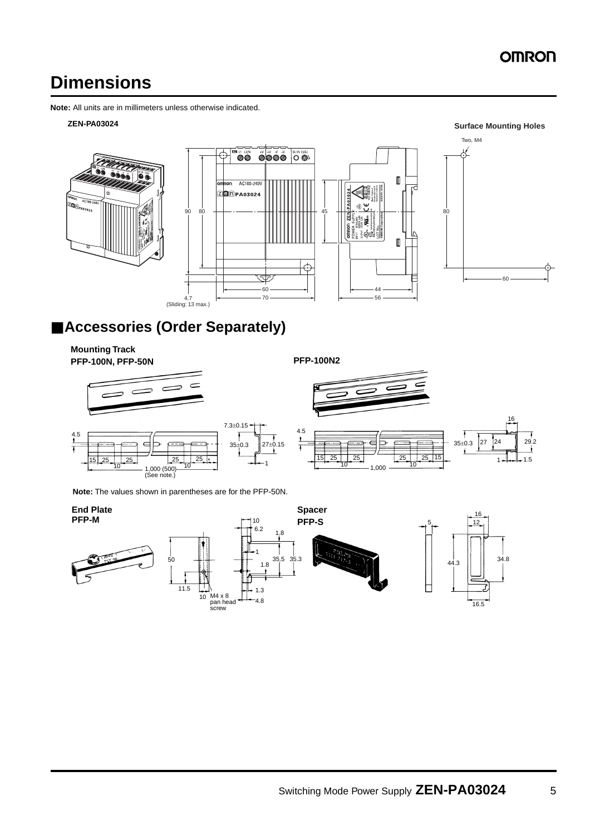### **OMRON**

**Surface Mounting Holes**

### **Dimensions**

**Note:** All units are in millimeters unless otherwise indicated.

#### **ZEN-PA03024**



### ■ **Accessories (Order Separately)**

**Mounting Track PFP-100N, PFP-50N PFP-100N2**



 $\frac{15}{25}$   $\frac{25}{10}$   $\frac{25}{10}$   $\frac{25}{10}$   $\frac{25}{10}$   $\frac{25}{10}$   $\frac{25}{10}$   $\frac{25}{10}$   $\frac{25}{10}$   $\frac{25}{10}$   $\frac{25}{10}$   $\frac{25}{10}$   $\frac{25}{10}$   $\frac{25}{10}$   $\frac{25}{10}$   $\frac{25}{10}$   $\frac{25}{10}$   $\frac{25}{10}$   $\frac{2$ 





**Note:** The values shown in parentheses are for the PFP-50N.

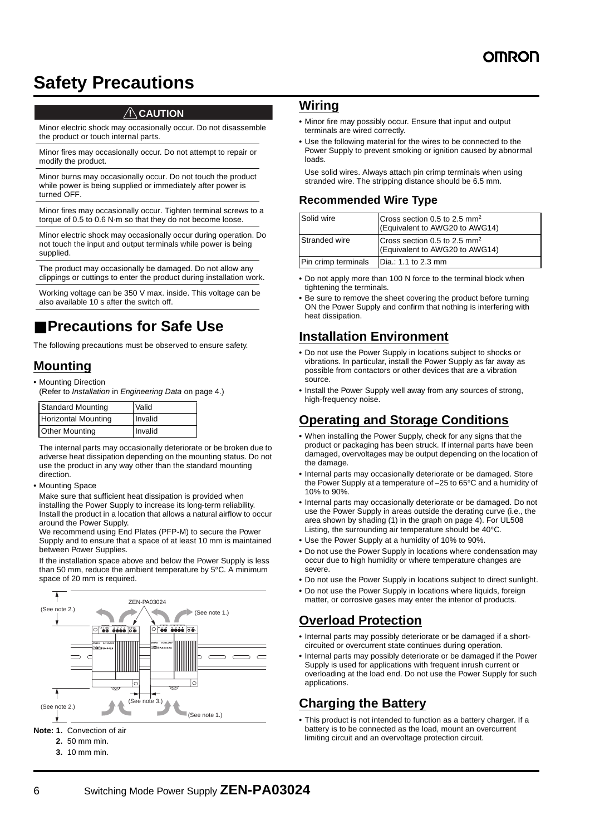### <span id="page-5-0"></span>**Safety Precautions**

#### $\land$  CAUTION

Minor electric shock may occasionally occur. Do not disassemble the product or touch internal parts.

Minor fires may occasionally occur. Do not attempt to repair or modify the product.

Minor burns may occasionally occur. Do not touch the product while power is being supplied or immediately after power is turned OFF.

Minor fires may occasionally occur. Tighten terminal screws to a torque of 0.5 to 0.6 N·m so that they do not become loose.

Minor electric shock may occasionally occur during operation. Do not touch the input and output terminals while power is being supplied.

The product may occasionally be damaged. Do not allow any clippings or cuttings to enter the product during installation work.

Working voltage can be 350 V max. inside. This voltage can be also available 10 s after the switch off.

### ■ **Precautions for Safe Use**

The following precautions must be observed to ensure safety.

#### **Mounting**

- **•** Mounting Direction
- (Refer to Installation in Engineering Data on [page 4](#page-3-0).)

| <b>Standard Mounting</b>   | Valid   |
|----------------------------|---------|
| <b>Horizontal Mounting</b> | Invalid |
| <b>Other Mounting</b>      | Invalid |

The internal parts may occasionally deteriorate or be broken due to adverse heat dissipation depending on the mounting status. Do not use the product in any way other than the standard mounting direction.

**•** Mounting Space

Make sure that sufficient heat dissipation is provided when installing the Power Supply to increase its long-term reliability. Install the product in a location that allows a natural airflow to occur around the Power Supply.

We recommend using End Plates (PFP-M) to secure the Power Supply and to ensure that a space of at least 10 mm is maintained between Power Supplies.

If the installation space above and below the Power Supply is less than 50 mm, reduce the ambient temperature by  $5^{\circ}$ C. A minimum space of 20 mm is required.



#### **3.** 10 mm min.

#### **Wiring**

- **•** Minor fire may possibly occur. Ensure that input and output terminals are wired correctly.
- **•** Use the following material for the wires to be connected to the Power Supply to prevent smoking or ignition caused by abnormal loads.

Use solid wires. Always attach pin crimp terminals when using stranded wire. The stripping distance should be 6.5 mm.

#### **Recommended Wire Type**

| Solid wire          | Cross section 0.5 to 2.5 mm <sup>2</sup><br>(Equivalent to AWG20 to AWG14) |
|---------------------|----------------------------------------------------------------------------|
| Stranded wire       | Cross section 0.5 to 2.5 mm <sup>2</sup><br>(Equivalent to AWG20 to AWG14) |
| Pin crimp terminals | Dia.: 1.1 to 2.3 mm                                                        |

- **•** Do not apply more than 100 N force to the terminal block when tightening the terminals.
- **•** Be sure to remove the sheet covering the product before turning ON the Power Supply and confirm that nothing is interfering with heat dissipation.

### **Installation Environment**

- **•** Do not use the Power Supply in locations subject to shocks or vibrations. In particular, install the Power Supply as far away as possible from contactors or other devices that are a vibration source.
- **•** Install the Power Supply well away from any sources of strong, high-frequency noise.

#### **Operating and Storage Conditions**

- **•** When installing the Power Supply, check for any signs that the product or packaging has been struck. If internal parts have been damaged, overvoltages may be output depending on the location of the damage.
- **•** Internal parts may occasionally deteriorate or be damaged. Store the Power Supply at a temperature of -25 to 65°C and a humidity of 10% to 90%.
- **•** Internal parts may occasionally deteriorate or be damaged. Do not use the Power Supply in areas outside the derating curve (i.e., the area shown by shading (1) in the graph on page [4](#page-3-1)). For UL508 Listing, the surrounding air temperature should be  $40^{\circ}$ C.
- **•** Use the Power Supply at a humidity of 10% to 90%.
- **•** Do not use the Power Supply in locations where condensation may occur due to high humidity or where temperature changes are severe.
- **•** Do not use the Power Supply in locations subject to direct sunlight.
- **•** Do not use the Power Supply in locations where liquids, foreign matter, or corrosive gases may enter the interior of products.

### **Overload Protection**

- **•** Internal parts may possibly deteriorate or be damaged if a shortcircuited or overcurrent state continues during operation.
- **•** Internal parts may possibly deteriorate or be damaged if the Power Supply is used for applications with frequent inrush current or overloading at the load end. Do not use the Power Supply for such applications.

#### **Charging the Battery**

**•** This product is not intended to function as a battery charger. If a battery is to be connected as the load, mount an overcurrent limiting circuit and an overvoltage protection circuit.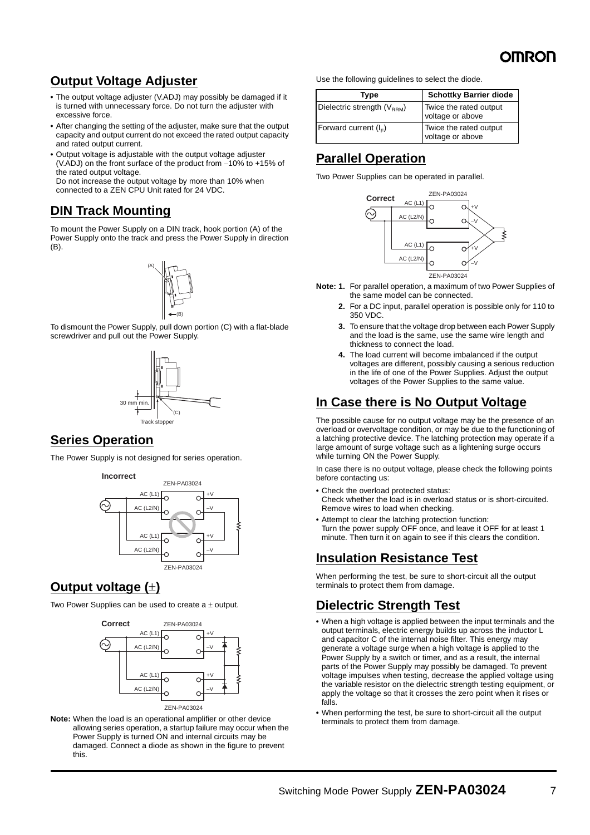### **Output Voltage Adjuster**

- **•** The output voltage adjuster (V.ADJ) may possibly be damaged if it is turned with unnecessary force. Do not turn the adjuster with excessive force.
- **•** After changing the setting of the adjuster, make sure that the output capacity and output current do not exceed the rated output capacity and rated output current.
- **•** Output voltage is adjustable with the output voltage adjuster (V.ADJ) on the front surface of the product from -10% to +15% of the rated output voltage. Do not increase the output voltage by more than 10% when connected to a ZEN CPU Unit rated for 24 VDC.

### **DIN Track Mounting**

screwdriver and pull out the Power Supply.

To mount the Power Supply on a DIN track, hook portion (A) of the Power Supply onto the track and press the Power Supply in direction (B).



To dismount the Power Supply, pull down portion (C) with a flat-blade





#### **Series Operation**

The Power Supply is not designed for series operation.



### **Output voltage ()**

Two Power Supplies can be used to create  $a \pm$  output.



**Note:** When the load is an operational amplifier or other device allowing series operation, a startup failure may occur when the Power Supply is turned ON and internal circuits may be damaged. Connect a diode as shown in the figure to prevent this.

Use the following guidelines to select the diode.

| Type                            | <b>Schottky Barrier diode</b>              |
|---------------------------------|--------------------------------------------|
| Dielectric strength $(V_{RRM})$ | Twice the rated output<br>voltage or above |
| Forward current $(I_{E})$       | Twice the rated output<br>voltage or above |

### **Parallel Operation**

Two Power Supplies can be operated in parallel.



**Note: 1.** For parallel operation, a maximum of two Power Supplies of the same model can be connected.

- **2.** For a DC input, parallel operation is possible only for 110 to 350 VDC.
- **3.** To ensure that the voltage drop between each Power Supply and the load is the same, use the same wire length and thickness to connect the load.
- **4.** The load current will become imbalanced if the output voltages are different, possibly causing a serious reduction in the life of one of the Power Supplies. Adjust the output voltages of the Power Supplies to the same value.

### **In Case there is No Output Voltage**

The possible cause for no output voltage may be the presence of an overload or overvoltage condition, or may be due to the functioning of a latching protective device. The latching protection may operate if a large amount of surge voltage such as a lightening surge occurs while turning ON the Power Supply.

In case there is no output voltage, please check the following points before contacting us:

- **•** Check the overload protected status: Check whether the load is in overload status or is short-circuited. Remove wires to load when checking.
- **•** Attempt to clear the latching protection function: Turn the power supply OFF once, and leave it OFF for at least 1 minute. Then turn it on again to see if this clears the condition.

### **Insulation Resistance Test**

When performing the test, be sure to short-circuit all the output terminals to protect them from damage.

### **Dielectric Strength Test**

- **•** When a high voltage is applied between the input terminals and the output terminals, electric energy builds up across the inductor L and capacitor C of the internal noise filter. This energy may generate a voltage surge when a high voltage is applied to the Power Supply by a switch or timer, and as a result, the internal parts of the Power Supply may possibly be damaged. To prevent voltage impulses when testing, decrease the applied voltage using the variable resistor on the dielectric strength testing equipment, or apply the voltage so that it crosses the zero point when it rises or falls.
- **•** When performing the test, be sure to short-circuit all the output terminals to protect them from damage.